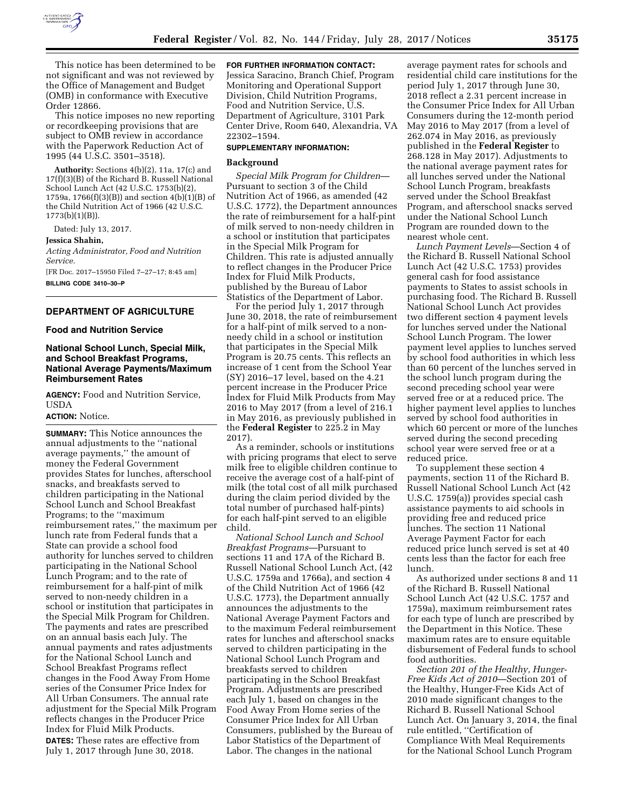

This notice has been determined to be not significant and was not reviewed by the Office of Management and Budget (OMB) in conformance with Executive Order 12866.

This notice imposes no new reporting or recordkeeping provisions that are subject to OMB review in accordance with the Paperwork Reduction Act of 1995 (44 U.S.C. 3501–3518).

**Authority:** Sections 4(b)(2), 11a, 17(c) and 17(f)(3)(B) of the Richard B. Russell National School Lunch Act (42 U.S.C. 1753(b)(2), 1759a, 1766(f)(3)(B)) and section 4(b)(1)(B) of the Child Nutrition Act of 1966 (42 U.S.C. 1773(b)(1)(B)).

Dated: July 13, 2017.

**Jessica Shahin,** 

*Acting Administrator, Food and Nutrition Service.* 

[FR Doc. 2017–15950 Filed 7–27–17; 8:45 am] **BILLING CODE 3410–30–P** 

# **DEPARTMENT OF AGRICULTURE**

### **Food and Nutrition Service**

# **National School Lunch, Special Milk, and School Breakfast Programs, National Average Payments/Maximum Reimbursement Rates**

**AGENCY:** Food and Nutrition Service, USDA

# **ACTION:** Notice.

**SUMMARY:** This Notice announces the annual adjustments to the ''national average payments,'' the amount of money the Federal Government provides States for lunches, afterschool snacks, and breakfasts served to children participating in the National School Lunch and School Breakfast Programs; to the ''maximum reimbursement rates,'' the maximum per lunch rate from Federal funds that a State can provide a school food authority for lunches served to children participating in the National School Lunch Program; and to the rate of reimbursement for a half-pint of milk served to non-needy children in a school or institution that participates in the Special Milk Program for Children. The payments and rates are prescribed on an annual basis each July. The annual payments and rates adjustments for the National School Lunch and School Breakfast Programs reflect changes in the Food Away From Home series of the Consumer Price Index for All Urban Consumers. The annual rate adjustment for the Special Milk Program reflects changes in the Producer Price Index for Fluid Milk Products. **DATES:** These rates are effective from July 1, 2017 through June 30, 2018.

**FOR FURTHER INFORMATION CONTACT:** 

Jessica Saracino, Branch Chief, Program Monitoring and Operational Support Division, Child Nutrition Programs, Food and Nutrition Service, U.S. Department of Agriculture, 3101 Park Center Drive, Room 640, Alexandria, VA 22302–1594.

## **SUPPLEMENTARY INFORMATION:**

### **Background**

*Special Milk Program for Children*— Pursuant to section 3 of the Child Nutrition Act of 1966, as amended (42 U.S.C. 1772), the Department announces the rate of reimbursement for a half-pint of milk served to non-needy children in a school or institution that participates in the Special Milk Program for Children. This rate is adjusted annually to reflect changes in the Producer Price Index for Fluid Milk Products, published by the Bureau of Labor Statistics of the Department of Labor.

For the period July 1, 2017 through June 30, 2018, the rate of reimbursement for a half-pint of milk served to a nonneedy child in a school or institution that participates in the Special Milk Program is 20.75 cents. This reflects an increase of 1 cent from the School Year (SY) 2016–17 level, based on the 4.21 percent increase in the Producer Price Index for Fluid Milk Products from May 2016 to May 2017 (from a level of 216.1 in May 2016, as previously published in the **Federal Register** to 225.2 in May 2017).

As a reminder, schools or institutions with pricing programs that elect to serve milk free to eligible children continue to receive the average cost of a half-pint of milk (the total cost of all milk purchased during the claim period divided by the total number of purchased half-pints) for each half-pint served to an eligible child.

*National School Lunch and School Breakfast Programs*—Pursuant to sections 11 and 17A of the Richard B. Russell National School Lunch Act, (42 U.S.C. 1759a and 1766a), and section 4 of the Child Nutrition Act of 1966 (42 U.S.C. 1773), the Department annually announces the adjustments to the National Average Payment Factors and to the maximum Federal reimbursement rates for lunches and afterschool snacks served to children participating in the National School Lunch Program and breakfasts served to children participating in the School Breakfast Program. Adjustments are prescribed each July 1, based on changes in the Food Away From Home series of the Consumer Price Index for All Urban Consumers, published by the Bureau of Labor Statistics of the Department of Labor. The changes in the national

average payment rates for schools and residential child care institutions for the period July 1, 2017 through June 30, 2018 reflect a 2.31 percent increase in the Consumer Price Index for All Urban Consumers during the 12-month period May 2016 to May 2017 (from a level of 262.074 in May 2016, as previously published in the **Federal Register** to 268.128 in May 2017). Adjustments to the national average payment rates for all lunches served under the National School Lunch Program, breakfasts served under the School Breakfast Program, and afterschool snacks served under the National School Lunch Program are rounded down to the nearest whole cent.

*Lunch Payment Levels*—Section 4 of the Richard B. Russell National School Lunch Act (42 U.S.C. 1753) provides general cash for food assistance payments to States to assist schools in purchasing food. The Richard B. Russell National School Lunch Act provides two different section 4 payment levels for lunches served under the National School Lunch Program. The lower payment level applies to lunches served by school food authorities in which less than 60 percent of the lunches served in the school lunch program during the second preceding school year were served free or at a reduced price. The higher payment level applies to lunches served by school food authorities in which 60 percent or more of the lunches served during the second preceding school year were served free or at a reduced price.

To supplement these section 4 payments, section 11 of the Richard B. Russell National School Lunch Act (42 U.S.C. 1759(a)) provides special cash assistance payments to aid schools in providing free and reduced price lunches. The section 11 National Average Payment Factor for each reduced price lunch served is set at 40 cents less than the factor for each free lunch.

As authorized under sections 8 and 11 of the Richard B. Russell National School Lunch Act (42 U.S.C. 1757 and 1759a), maximum reimbursement rates for each type of lunch are prescribed by the Department in this Notice. These maximum rates are to ensure equitable disbursement of Federal funds to school food authorities.

*Section 201 of the Healthy, Hunger-Free Kids Act of 2010*—Section 201 of the Healthy, Hunger-Free Kids Act of 2010 made significant changes to the Richard B. Russell National School Lunch Act. On January 3, 2014, the final rule entitled, ''Certification of Compliance With Meal Requirements for the National School Lunch Program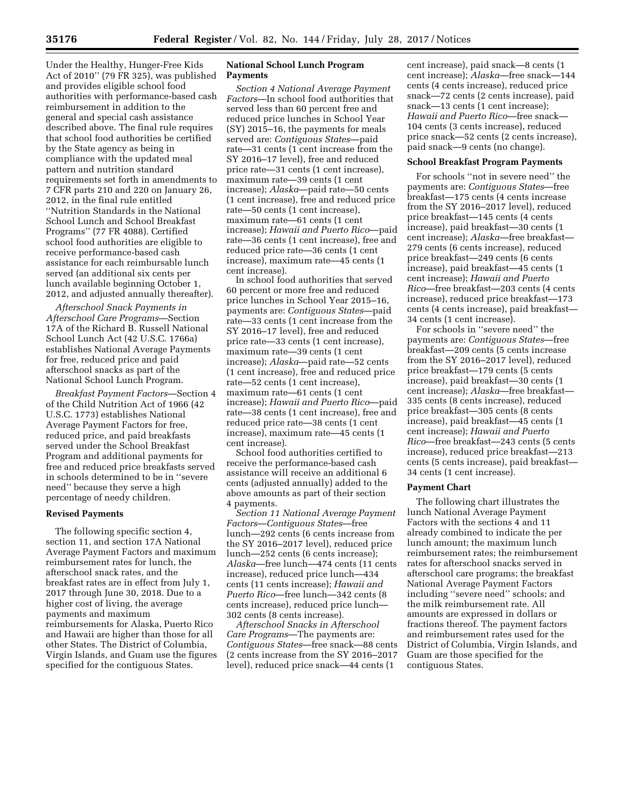Under the Healthy, Hunger-Free Kids Act of 2010'' (79 FR 325), was published and provides eligible school food authorities with performance-based cash reimbursement in addition to the general and special cash assistance described above. The final rule requires that school food authorities be certified by the State agency as being in compliance with the updated meal pattern and nutrition standard requirements set forth in amendments to 7 CFR parts 210 and 220 on January 26, 2012, in the final rule entitled ''Nutrition Standards in the National School Lunch and School Breakfast Programs'' (77 FR 4088). Certified school food authorities are eligible to receive performance-based cash assistance for each reimbursable lunch served (an additional six cents per lunch available beginning October 1, 2012, and adjusted annually thereafter).

*Afterschool Snack Payments in Afterschool Care Programs*—Section 17A of the Richard B. Russell National School Lunch Act (42 U.S.C. 1766a) establishes National Average Payments for free, reduced price and paid afterschool snacks as part of the National School Lunch Program.

*Breakfast Payment Factors*—Section 4 of the Child Nutrition Act of 1966 (42 U.S.C. 1773) establishes National Average Payment Factors for free, reduced price, and paid breakfasts served under the School Breakfast Program and additional payments for free and reduced price breakfasts served in schools determined to be in ''severe need'' because they serve a high percentage of needy children.

### **Revised Payments**

The following specific section 4, section 11, and section 17A National Average Payment Factors and maximum reimbursement rates for lunch, the afterschool snack rates, and the breakfast rates are in effect from July 1, 2017 through June 30, 2018. Due to a higher cost of living, the average payments and maximum reimbursements for Alaska, Puerto Rico and Hawaii are higher than those for all other States. The District of Columbia, Virgin Islands, and Guam use the figures specified for the contiguous States.

### **National School Lunch Program Payments**

*Section 4 National Average Payment Factors*—In school food authorities that served less than 60 percent free and reduced price lunches in School Year (SY) 2015–16, the payments for meals served are: *Contiguous States*—paid rate—31 cents (1 cent increase from the SY 2016–17 level), free and reduced price rate—31 cents (1 cent increase), maximum rate—39 cents (1 cent increase); *Alaska*—paid rate—50 cents (1 cent increase), free and reduced price rate—50 cents (1 cent increase), maximum rate—61 cents (1 cent increase); *Hawaii and Puerto Rico*—paid rate—36 cents (1 cent increase), free and reduced price rate—36 cents (1 cent increase), maximum rate—45 cents (1 cent increase).

In school food authorities that served 60 percent or more free and reduced price lunches in School Year 2015–16, payments are: *Contiguous States*—paid rate—33 cents (1 cent increase from the SY 2016–17 level), free and reduced price rate—33 cents (1 cent increase), maximum rate—39 cents (1 cent increase); *Alaska*—paid rate—52 cents (1 cent increase), free and reduced price rate—52 cents (1 cent increase), maximum rate—61 cents (1 cent increase); *Hawaii and Puerto Rico*—paid rate—38 cents (1 cent increase), free and reduced price rate—38 cents (1 cent increase), maximum rate—45 cents (1 cent increase).

School food authorities certified to receive the performance-based cash assistance will receive an additional 6 cents (adjusted annually) added to the above amounts as part of their section 4 payments.

*Section 11 National Average Payment Factors*—*Contiguous States*—free lunch—292 cents (6 cents increase from the SY 2016–2017 level), reduced price lunch—252 cents (6 cents increase); *Alaska*—free lunch—474 cents (11 cents increase), reduced price lunch—434 cents (11 cents increase); *Hawaii and Puerto Rico*—free lunch—342 cents (8 cents increase), reduced price lunch— 302 cents (8 cents increase).

*Afterschool Snacks in Afterschool Care Programs*—The payments are: *Contiguous States*—free snack—88 cents (2 cents increase from the SY 2016–2017 level), reduced price snack—44 cents (1

cent increase), paid snack—8 cents (1 cent increase); *Alaska*—free snack—144 cents (4 cents increase), reduced price snack—72 cents (2 cents increase), paid snack—13 cents (1 cent increase); *Hawaii and Puerto Rico*—free snack— 104 cents (3 cents increase), reduced price snack—52 cents (2 cents increase), paid snack—9 cents (no change).

### **School Breakfast Program Payments**

For schools ''not in severe need'' the payments are: *Contiguous States*—free breakfast—175 cents (4 cents increase from the SY 2016–2017 level), reduced price breakfast—145 cents (4 cents increase), paid breakfast—30 cents (1 cent increase); *Alaska*—free breakfast— 279 cents (6 cents increase), reduced price breakfast—249 cents (6 cents increase), paid breakfast—45 cents (1 cent increase); *Hawaii and Puerto Rico*—free breakfast—203 cents (4 cents increase), reduced price breakfast—173 cents (4 cents increase), paid breakfast— 34 cents (1 cent increase).

For schools in ''severe need'' the payments are: *Contiguous States*—free breakfast—209 cents (5 cents increase from the SY 2016–2017 level), reduced price breakfast—179 cents (5 cents increase), paid breakfast—30 cents (1 cent increase); *Alaska*—free breakfast— 335 cents (8 cents increase), reduced price breakfast—305 cents (8 cents increase), paid breakfast—45 cents (1 cent increase); *Hawaii and Puerto Rico*—free breakfast—243 cents (5 cents increase), reduced price breakfast—213 cents (5 cents increase), paid breakfast— 34 cents (1 cent increase).

# **Payment Chart**

The following chart illustrates the lunch National Average Payment Factors with the sections 4 and 11 already combined to indicate the per lunch amount; the maximum lunch reimbursement rates; the reimbursement rates for afterschool snacks served in afterschool care programs; the breakfast National Average Payment Factors including ''severe need'' schools; and the milk reimbursement rate. All amounts are expressed in dollars or fractions thereof. The payment factors and reimbursement rates used for the District of Columbia, Virgin Islands, and Guam are those specified for the contiguous States.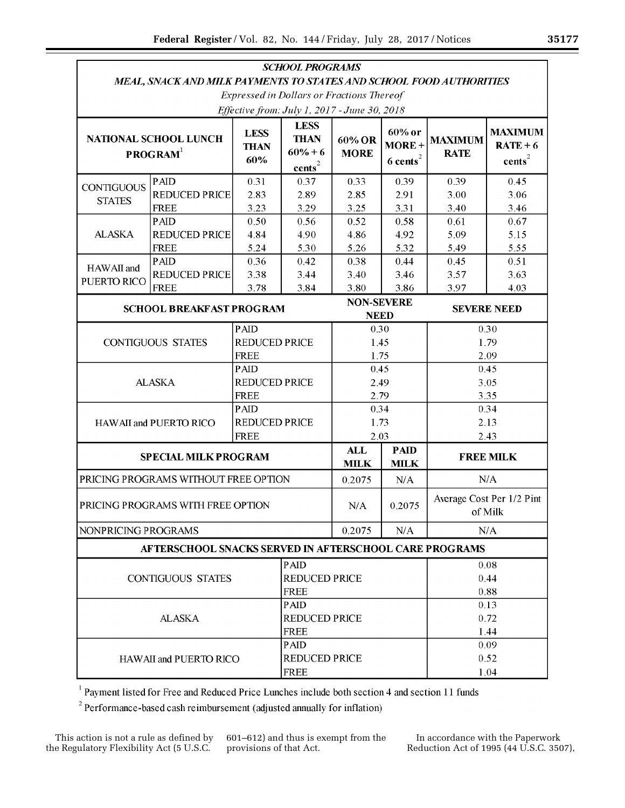|                                                                      |                                                                     |                                     | <b>SCHOOL PROGRAMS</b>                                                 |                           |                                             |                                      |                                                    |  |
|----------------------------------------------------------------------|---------------------------------------------------------------------|-------------------------------------|------------------------------------------------------------------------|---------------------------|---------------------------------------------|--------------------------------------|----------------------------------------------------|--|
|                                                                      | MEAL, SNACK AND MILK PAYMENTS TO STATES AND SCHOOL FOOD AUTHORITIES |                                     |                                                                        |                           |                                             |                                      |                                                    |  |
|                                                                      |                                                                     |                                     | <b>Expressed in Dollars or Fractions Thereof</b>                       |                           |                                             |                                      |                                                    |  |
|                                                                      |                                                                     |                                     | Effective from: July 1, 2017 - June 30, 2018                           |                           |                                             |                                      |                                                    |  |
| <b>NATIONAL SCHOOL LUNCH</b><br>PROGRAM <sup>1</sup>                 |                                                                     | <b>LESS</b><br><b>THAN</b><br>60%   | <b>LESS</b><br><b>THAN</b><br>$60% + 6$<br>${\rm \underline{cents}}^2$ | 60% OR<br><b>MORE</b>     | 60% or<br>$MORE+$<br>$6$ cents <sup>2</sup> | <b>MAXIMUM</b><br><b>RATE</b>        | <b>MAXIMUM</b><br>$RATE + 6$<br>cents <sup>2</sup> |  |
|                                                                      | <b>PAID</b>                                                         | 0.31                                | 0.37                                                                   | 0.33                      | 0.39                                        | 0.39                                 | 0.45                                               |  |
| <b>CONTIGUOUS</b><br><b>STATES</b>                                   | <b>REDUCED PRICE</b>                                                | 2.83                                | 2.89                                                                   | 2.85                      | 2.91                                        | 3.00                                 | 3.06                                               |  |
|                                                                      | <b>FREE</b>                                                         | 3.23                                | 3.29                                                                   | 3.25                      | 3.31                                        | 3.40                                 | 3.46                                               |  |
| <b>ALASKA</b>                                                        | <b>PAID</b>                                                         | 0.50                                | 0.56                                                                   | 0.52                      | 0.58                                        | 0.61                                 | 0.67                                               |  |
|                                                                      | <b>REDUCED PRICE</b>                                                | 4.84                                | 4.90                                                                   | 4.86                      | 4.92                                        | 5.09                                 | 5.15                                               |  |
|                                                                      | <b>FREE</b>                                                         | 5.24                                | 5.30                                                                   | 5.26                      | 5.32                                        | 5.49                                 | 5.55                                               |  |
| HAWAII and<br>PUERTO RICO                                            | <b>PAID</b>                                                         | 0.36                                | 0.42                                                                   | 0.38                      | 0.44                                        | 0.45                                 | 0.51                                               |  |
|                                                                      | <b>REDUCED PRICE</b>                                                | 3.38                                | 3.44                                                                   | 3.40                      | 3.46                                        | 3.57                                 | 3.63                                               |  |
|                                                                      | <b>FREE</b>                                                         | 3.78                                | 3.84                                                                   | 3.80                      | 3.86                                        | 3.97                                 | 4.03                                               |  |
| <b>SCHOOL BREAKFAST PROGRAM</b>                                      |                                                                     |                                     |                                                                        |                           | <b>NON-SEVERE</b><br><b>NEED</b>            |                                      | <b>SEVERE NEED</b>                                 |  |
| <b>PAID</b>                                                          |                                                                     |                                     |                                                                        | 0.30                      |                                             | 0.30                                 |                                                    |  |
| <b>CONTIGUOUS STATES</b>                                             |                                                                     | <b>REDUCED PRICE</b>                |                                                                        | 1.45                      |                                             | 1.79                                 |                                                    |  |
|                                                                      |                                                                     | <b>FREE</b>                         |                                                                        | 1.75                      |                                             | 2.09                                 |                                                    |  |
|                                                                      | PAID                                                                |                                     |                                                                        | 0.45                      |                                             | 0.45                                 |                                                    |  |
| <b>ALASKA</b>                                                        |                                                                     | <b>REDUCED PRICE</b>                |                                                                        | 2.49                      |                                             | 3.05                                 |                                                    |  |
|                                                                      |                                                                     | <b>FREE</b>                         |                                                                        | 2.79                      |                                             | 3.35                                 |                                                    |  |
| <b>PAID</b>                                                          |                                                                     |                                     |                                                                        |                           | 0.34                                        |                                      | 0.34                                               |  |
| HAWAII and PUERTO RICO                                               |                                                                     | <b>REDUCED PRICE</b><br><b>FREE</b> |                                                                        | 1.73<br>2.03              |                                             | 2.13                                 |                                                    |  |
|                                                                      | 2.43                                                                |                                     |                                                                        |                           |                                             |                                      |                                                    |  |
| <b>SPECIAL MILK PROGRAM</b>                                          |                                                                     |                                     |                                                                        | <b>ALL</b><br><b>MILK</b> | <b>PAID</b><br><b>MILK</b>                  | <b>FREE MILK</b>                     |                                                    |  |
| PRICING PROGRAMS WITHOUT FREE OPTION                                 |                                                                     |                                     |                                                                        | 0.2075                    | N/A                                         | N/A                                  |                                                    |  |
| PRICING PROGRAMS WITH FREE OPTION                                    |                                                                     |                                     |                                                                        | N/A                       | 0.2075                                      | Average Cost Per 1/2 Pint<br>of Milk |                                                    |  |
| NONPRICING PROGRAMS                                                  |                                                                     |                                     |                                                                        | 0.2075                    | N/A                                         | N/A                                  |                                                    |  |
|                                                                      | AFTERSCHOOL SNACKS SERVED IN AFTERSCHOOL CARE PROGRAMS              |                                     |                                                                        |                           |                                             |                                      |                                                    |  |
| PAID                                                                 |                                                                     |                                     |                                                                        |                           |                                             |                                      | 0.08                                               |  |
| <b>CONTIGUOUS STATES</b><br><b>FREE</b>                              |                                                                     |                                     | <b>REDUCED PRICE</b>                                                   |                           |                                             | 0.44                                 |                                                    |  |
|                                                                      |                                                                     |                                     |                                                                        |                           |                                             |                                      | 0.88                                               |  |
| <b>PAID</b>                                                          |                                                                     |                                     |                                                                        |                           |                                             | 0.13                                 |                                                    |  |
| <b>ALASKA</b>                                                        |                                                                     |                                     | <b>REDUCED PRICE</b>                                                   |                           |                                             | 0.72                                 |                                                    |  |
| <b>FREE</b>                                                          |                                                                     |                                     |                                                                        |                           |                                             | 1.44                                 |                                                    |  |
| <b>PAID</b><br><b>REDUCED PRICE</b><br><b>HAWAII and PUERTO RICO</b> |                                                                     |                                     |                                                                        |                           |                                             | 0.09                                 |                                                    |  |
|                                                                      |                                                                     |                                     |                                                                        |                           |                                             | 0.52                                 |                                                    |  |
| <b>FREE</b>                                                          |                                                                     |                                     |                                                                        |                           |                                             | 1.04                                 |                                                    |  |

1 Payment listed for Free and Reduced Price Lunches include both section 4 and section 11 funds

 $2^{2}$  Performance-based cash reimbursement (adjusted annually for inflation)

601–612) and thus is exempt from the provisions of that Act.

In accordance with the Paperwork Reduction Act of 1995 (44 U.S.C. 3507),